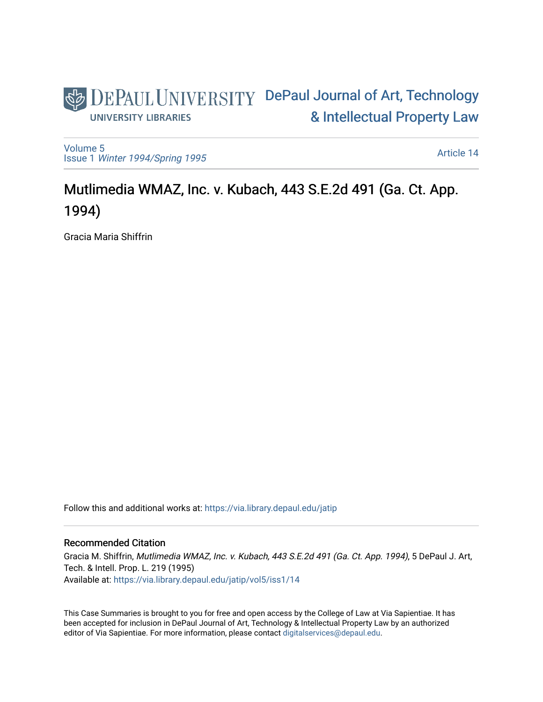## DEPAUL UNIVERSITY DePaul Journal of Art, Technology [& Intellectual Property Law](https://via.library.depaul.edu/jatip)  **UNIVERSITY LIBRARIES**

[Volume 5](https://via.library.depaul.edu/jatip/vol5) Issue 1 [Winter 1994/Spring 1995](https://via.library.depaul.edu/jatip/vol5/iss1)

[Article 14](https://via.library.depaul.edu/jatip/vol5/iss1/14) 

# Mutlimedia WMAZ, Inc. v. Kubach, 443 S.E.2d 491 (Ga. Ct. App. 1994)

Gracia Maria Shiffrin

Follow this and additional works at: [https://via.library.depaul.edu/jatip](https://via.library.depaul.edu/jatip?utm_source=via.library.depaul.edu%2Fjatip%2Fvol5%2Fiss1%2F14&utm_medium=PDF&utm_campaign=PDFCoverPages)

## Recommended Citation

Gracia M. Shiffrin, Mutlimedia WMAZ, Inc. v. Kubach, 443 S.E.2d 491 (Ga. Ct. App. 1994), 5 DePaul J. Art, Tech. & Intell. Prop. L. 219 (1995) Available at: [https://via.library.depaul.edu/jatip/vol5/iss1/14](https://via.library.depaul.edu/jatip/vol5/iss1/14?utm_source=via.library.depaul.edu%2Fjatip%2Fvol5%2Fiss1%2F14&utm_medium=PDF&utm_campaign=PDFCoverPages) 

This Case Summaries is brought to you for free and open access by the College of Law at Via Sapientiae. It has been accepted for inclusion in DePaul Journal of Art, Technology & Intellectual Property Law by an authorized editor of Via Sapientiae. For more information, please contact [digitalservices@depaul.edu](mailto:digitalservices@depaul.edu).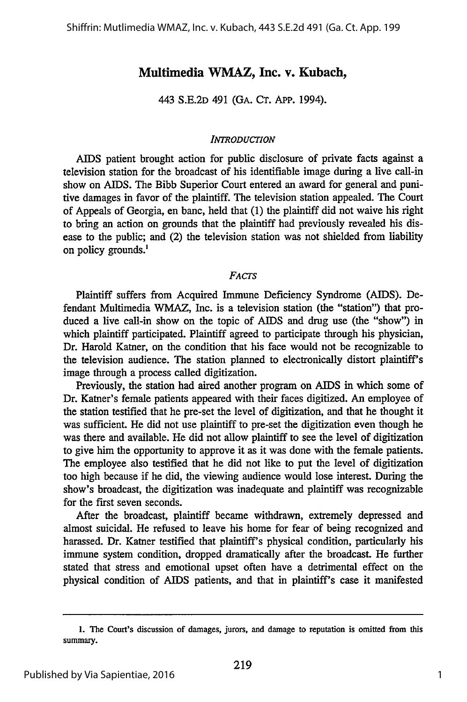## **Multimedia WMAZ, Inc. v. Kubach,**

443 S.E.2D 491 (GA. **CT. APP.** 1994).

#### *INTRODUCTION*

AIDS patient brought action for public disclosure of private facts against a television station for the broadcast of his identifiable image during a live call-in show on AIDS. The Bibb Superior Court entered an award for general and punitive damages in favor of the plaintiff. The television station appealed. The Court of Appeals of Georgia, en banc, held that (1) the plaintiff did not waive his right to bring an action on grounds that the plaintiff had previously revealed his disease to the public; and (2) the television station was not shielded from liability on policy grounds.'

### *FACTS*

Plaintiff suffers from Acquired Immune Deficiency Syndrome (AIDS). Defendant Multimedia WMAZ, Inc. is a television station (the "station") that produced a live call-in show on the topic of AIDS and drug use (the "show") in which plaintiff participated. Plaintiff agreed to participate through his physician, Dr. Harold Katner, on the condition that his face would not be recognizable to the television audience. The station planned to electronically distort plaintiff's image through a process called digitization.

Previously, the station had aired another program on AIDS in which some of Dr. Katner's female patients appeared with their faces digitized. An employee of the station testified that he pre-set the level of digitization, and that he thought it was sufficient. He did not use plaintiff to pre-set the digitization even though he was there and available. He did not allow plaintiff to see the level of digitization to give him the opportunity to approve it as it was done with the female patients. The employee also testified that he did not like to put the level of digitization too high because if he did, the viewing audience would lose interest. During the show's broadcast, the digitization was inadequate and plaintiff was recognizable for the first seven seconds.

After the broadcast, plaintiff became withdrawn, extremely depressed and almost suicidal. He refused to leave his home for fear of being recognized and harassed. Dr. Katner testified that plaintiff's physical condition, particularly his immune system condition, dropped dramatically after the broadcast. He further stated that stress and emotional upset often have a detrimental effect on the physical condition of AIDS patients, and that in plaintiff's case it manifested

**<sup>1.</sup>** The Court's discussion of damages, jurors, and damage to reputation is omitted from this summary.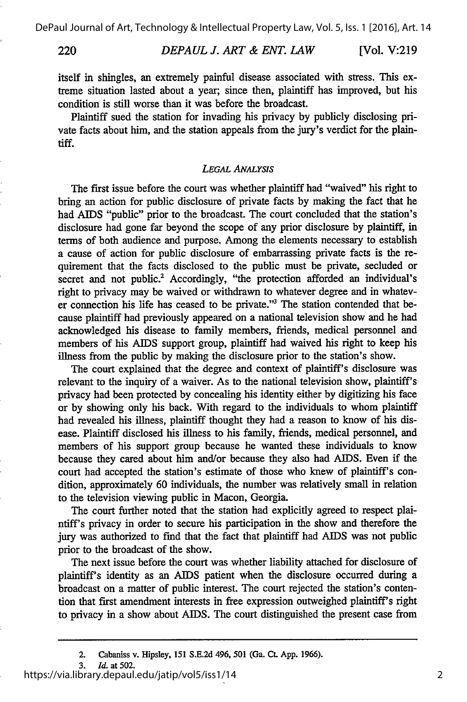220

itself in shingles, an extremely painful disease associated with stress. This extreme situation lasted about a year; since then, plaintiff has improved, but his condition is still worse than it was before the broadcast.

Plaintiff sued the station for invading his privacy by publicly disclosing private facts about him, and the station appeals from the jury's verdict for the plaintiff.

#### *LEGAL ANALYSIS*

The first issue before the court was whether plaintiff had "waived" his right to bring an action for public disclosure of private facts by making the fact that he had AIDS "public" prior to the broadcast. The court concluded that the station's disclosure had gone far beyond the scope of any prior disclosure by plaintiff, in terms of both audience and purpose. Among the elements necessary to establish a cause of action for public disclosure of embarrassing private facts is the requirement that the facts disclosed to the public must be private, secluded or secret and not public.<sup>2</sup> Accordingly, "the protection afforded an individual's right to privacy may be waived or withdrawn to whatever degree and in whatever connection his life has ceased to be private."' The station contended that because plaintiff had previously appeared on a national television show and he had acknowledged his disease to family members, friends, medical personnel and members of his AIDS support group, plaintiff had waived his right to keep his illness from the public by making the disclosure prior to the station's show.

The court explained that the degree and context of plaintiff's disclosure was relevant to the inquiry of a waiver. As to the national television show, plaintiff's privacy had been protected by concealing his identity either by digitizing his face or by showing only his back. With regard to the individuals to whom plaintiff had revealed his illness, plaintiff thought they had a reason to know of his disease. Plaintiff disclosed his illness to his family, friends, medical personnel, and members of his support group because he wanted these individuals to know because they cared about him and/or because they also had AIDS. Even if the court had accepted the station's estimate of those who knew of plaintiff's condition, approximately 60 individuals, the number was relatively small in relation to the television viewing public in Macon, Georgia.

The court further noted that the station had explicitly agreed to respect plaintiff's privacy in order to secure his participation in the show and therefore the jury was authorized to find that the fact that plaintiff had AIDS was not public prior to the broadcast of the show.

The next issue before the court was whether liability attached for disclosure of plaintiff's identity as an AIDS patient when the disclosure occurred during a broadcast on a matter of public interest. The court rejected the station's contention that first amendment interests in free expression outweighed plaintiff's right to privacy in a show about AIDS. The court distinguished the present case from

https://via.library.depaul.edu/jatip/vol5/iss1/14

<sup>2.</sup> Cabaniss v. Hipsley, **151 S.E.2d** 496, **501** (Ga. **Ct. App. 1966).**

**<sup>3.</sup>** *Id.* at **502.**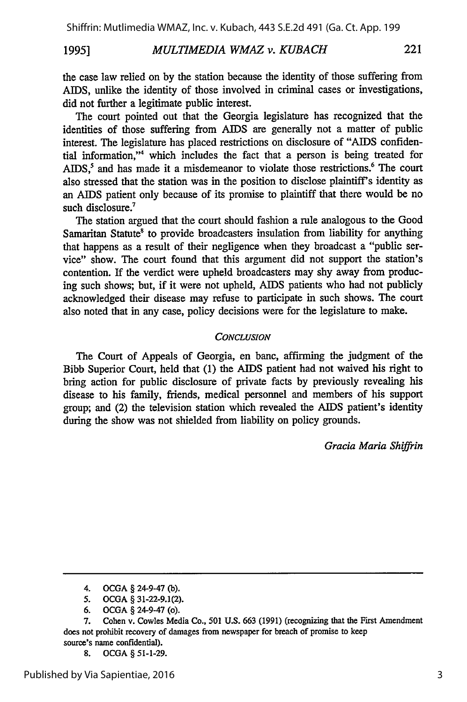#### *MULTIMEDIA WMAZ v. KUBACH* **1995]**

the case law relied on by the station because the identity of those suffering from AIDS, unlike the identity of those involved in criminal cases or investigations, did not further a legitimate public interest.

The court pointed out that the Georgia legislature has recognized that the identities of those suffering from AIDS are generally not a matter of public interest. The legislature has placed restrictions on disclosure of "AIDS confidential information,"<sup>4</sup> which includes the fact that a person is being treated for AIDS,<sup>5</sup> and has made it a misdemeanor to violate those restrictions.<sup>6</sup> The court also stressed that the station was in the position to disclose plaintiff's identity as an AIDS patient only because of its promise to plaintiff that there would be no such disclosure.<sup>7</sup>

The station argued that the court should fashion a rule analogous to the Good Samaritan Statute' to provide broadcasters insulation from liability for anything that happens as a result of their negligence when they broadcast a "public service" show. The court found that this argument did not support the station's contention. If the verdict were upheld broadcasters may shy away from producing such shows; but, if it were not upheld, AIDS patients who had not publicly acknowledged their disease may refuse to participate in such shows. The court also noted that in any case, policy decisions were for the legislature to make.

#### *CONCLUSION*

The Court of Appeals of Georgia, en banc, affirming the judgment of the Bibb Superior Court, held that (1) the AIDS patient had not waived his right to bring action for public disclosure of private facts by previously revealing his disease to his family, friends, medical personnel and members of his support group; and (2) the television station which revealed the AIDS patient's identity during the show was not shielded from liability on policy grounds.

*Gracia Maria Shiffrin*

<sup>4.</sup> OCGA § 24-9-47 (b).

**<sup>5.</sup>** OCGA § 31-22-9.1(2).

<sup>6.</sup> OCGA § 24-9-47 (o).

<sup>7.</sup> Cohen v. Cowles Media Co., **501** U.S. 663 (1991) (recognizing that the First Amendment does not prohibit recovery of damages from newspaper for breach of promise to keep source's name confidential).

<sup>8.</sup> OCGA § 51-1-29.